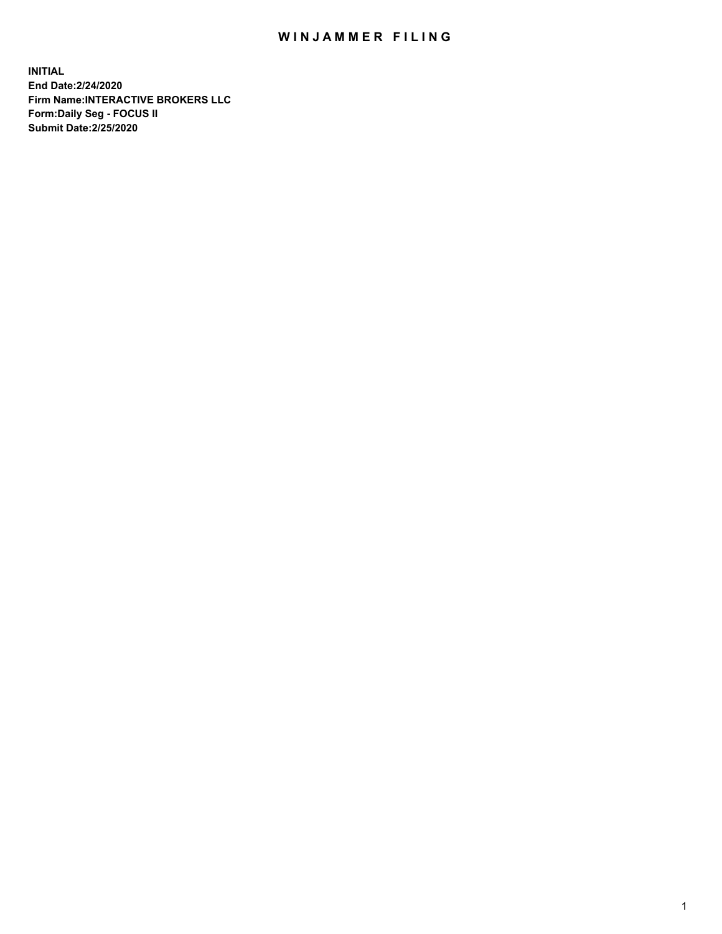## WIN JAMMER FILING

**INITIAL End Date:2/24/2020 Firm Name:INTERACTIVE BROKERS LLC Form:Daily Seg - FOCUS II Submit Date:2/25/2020**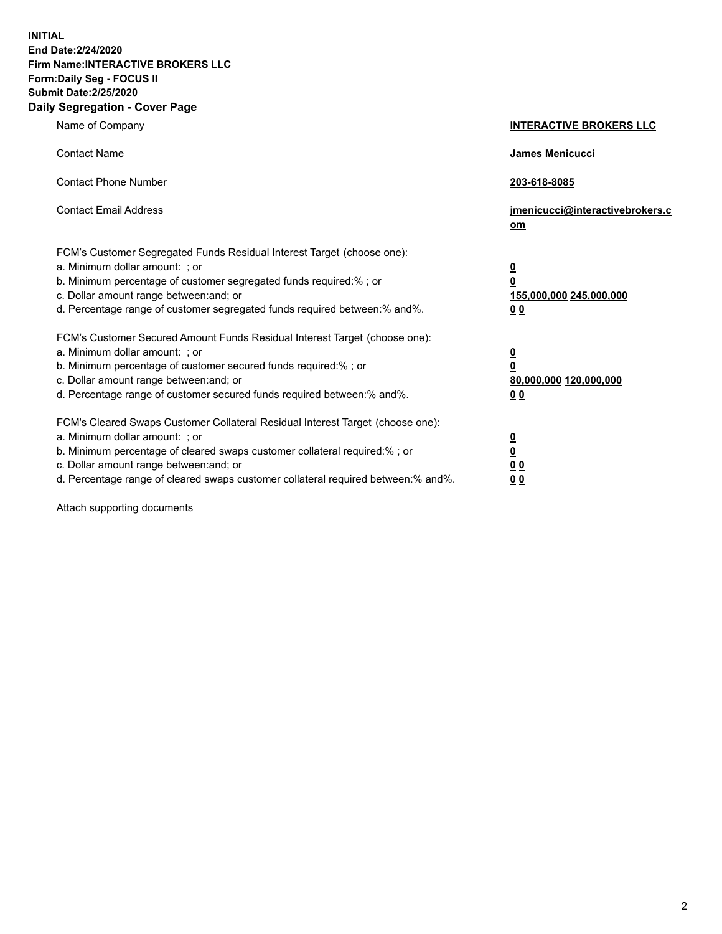**INITIAL End Date:2/24/2020 Firm Name:INTERACTIVE BROKERS LLC Form:Daily Seg - FOCUS II Submit Date:2/25/2020 Daily Segregation - Cover Page**

| Name of Company                                                                                                                                                                                                                                                                                                               | <b>INTERACTIVE BROKERS LLC</b>                                                                  |
|-------------------------------------------------------------------------------------------------------------------------------------------------------------------------------------------------------------------------------------------------------------------------------------------------------------------------------|-------------------------------------------------------------------------------------------------|
| <b>Contact Name</b>                                                                                                                                                                                                                                                                                                           | James Menicucci                                                                                 |
| <b>Contact Phone Number</b>                                                                                                                                                                                                                                                                                                   | 203-618-8085                                                                                    |
| <b>Contact Email Address</b>                                                                                                                                                                                                                                                                                                  | jmenicucci@interactivebrokers.c<br><u>om</u>                                                    |
| FCM's Customer Segregated Funds Residual Interest Target (choose one):<br>a. Minimum dollar amount: ; or<br>b. Minimum percentage of customer segregated funds required:% ; or<br>c. Dollar amount range between: and; or<br>d. Percentage range of customer segregated funds required between:% and%.                        | $\overline{\mathbf{0}}$<br>$\overline{\mathbf{0}}$<br>155,000,000 245,000,000<br>0 <sub>0</sub> |
| FCM's Customer Secured Amount Funds Residual Interest Target (choose one):<br>a. Minimum dollar amount: ; or<br>b. Minimum percentage of customer secured funds required:%; or<br>c. Dollar amount range between: and; or<br>d. Percentage range of customer secured funds required between:% and%.                           | $\overline{\mathbf{0}}$<br>$\overline{\mathbf{0}}$<br>80,000,000 120,000,000<br>0 <sub>0</sub>  |
| FCM's Cleared Swaps Customer Collateral Residual Interest Target (choose one):<br>a. Minimum dollar amount: ; or<br>b. Minimum percentage of cleared swaps customer collateral required:%; or<br>c. Dollar amount range between: and; or<br>d. Percentage range of cleared swaps customer collateral required between:% and%. | $\overline{\mathbf{0}}$<br>$\overline{\mathbf{0}}$<br>0 <sub>0</sub><br>0 <sub>0</sub>          |

Attach supporting documents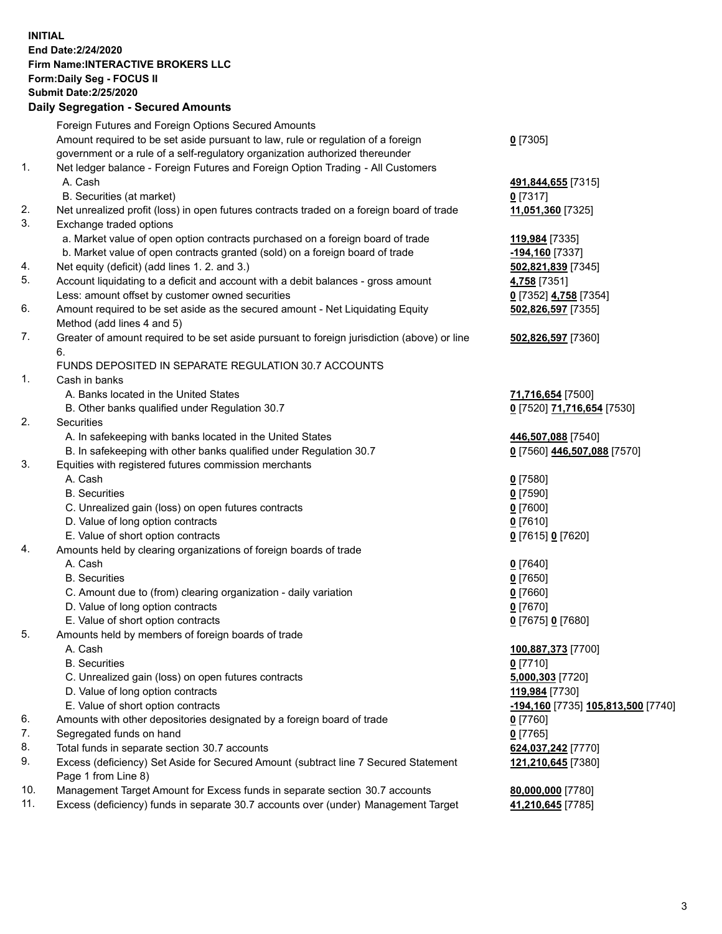**INITIAL End Date:2/24/2020 Firm Name:INTERACTIVE BROKERS LLC Form:Daily Seg - FOCUS II Submit Date:2/25/2020 Daily Segregation - Secured Amounts**

|     | <u>ovgrvgation ovodrod Annount</u>                                                                         |                                                 |
|-----|------------------------------------------------------------------------------------------------------------|-------------------------------------------------|
|     | Foreign Futures and Foreign Options Secured Amounts                                                        |                                                 |
|     | Amount required to be set aside pursuant to law, rule or regulation of a foreign                           | $0$ [7305]                                      |
|     | government or a rule of a self-regulatory organization authorized thereunder                               |                                                 |
| 1.  | Net ledger balance - Foreign Futures and Foreign Option Trading - All Customers                            |                                                 |
|     | A. Cash                                                                                                    | 491,844,655 [7315]                              |
|     | B. Securities (at market)                                                                                  | $0$ [7317]                                      |
| 2.  | Net unrealized profit (loss) in open futures contracts traded on a foreign board of trade                  | 11,051,360 [7325]                               |
| 3.  | Exchange traded options                                                                                    |                                                 |
|     | a. Market value of open option contracts purchased on a foreign board of trade                             | 119,984 [7335]                                  |
|     | b. Market value of open contracts granted (sold) on a foreign board of trade                               | -194,160 <sup>[7337]</sup>                      |
| 4.  | Net equity (deficit) (add lines 1. 2. and 3.)                                                              | 502,821,839 [7345]                              |
| 5.  | Account liquidating to a deficit and account with a debit balances - gross amount                          | 4,758 [7351]                                    |
|     | Less: amount offset by customer owned securities                                                           | 0 [7352] 4,758 [7354]                           |
| 6.  | Amount required to be set aside as the secured amount - Net Liquidating Equity                             | 502,826,597 [7355]                              |
|     | Method (add lines 4 and 5)                                                                                 |                                                 |
| 7.  | Greater of amount required to be set aside pursuant to foreign jurisdiction (above) or line                | 502,826,597 [7360]                              |
|     | 6.                                                                                                         |                                                 |
|     | FUNDS DEPOSITED IN SEPARATE REGULATION 30.7 ACCOUNTS                                                       |                                                 |
| 1.  | Cash in banks                                                                                              |                                                 |
|     | A. Banks located in the United States                                                                      | 71,716,654 [7500]                               |
|     | B. Other banks qualified under Regulation 30.7                                                             | 0 [7520] 71,716,654 [7530]                      |
| 2.  | Securities                                                                                                 |                                                 |
|     | A. In safekeeping with banks located in the United States                                                  | 446,507,088 [7540]                              |
|     | B. In safekeeping with other banks qualified under Regulation 30.7                                         | 0 [7560] 446,507,088 [7570]                     |
| 3.  | Equities with registered futures commission merchants                                                      |                                                 |
|     | A. Cash                                                                                                    | $0$ [7580]                                      |
|     | <b>B.</b> Securities                                                                                       | $0$ [7590]                                      |
|     | C. Unrealized gain (loss) on open futures contracts                                                        | $0$ [7600]                                      |
|     | D. Value of long option contracts                                                                          | $0$ [7610]                                      |
|     | E. Value of short option contracts                                                                         | 0 [7615] 0 [7620]                               |
| 4.  | Amounts held by clearing organizations of foreign boards of trade                                          |                                                 |
|     | A. Cash                                                                                                    | $0$ [7640]                                      |
|     | <b>B.</b> Securities                                                                                       | $0$ [7650]                                      |
|     | C. Amount due to (from) clearing organization - daily variation                                            | $0$ [7660]                                      |
|     | D. Value of long option contracts                                                                          | $0$ [7670]                                      |
|     | E. Value of short option contracts                                                                         | 0 [7675] 0 [7680]                               |
| 5.  | Amounts held by members of foreign boards of trade                                                         |                                                 |
|     | A. Cash                                                                                                    | 100,887,373 [7700]                              |
|     | <b>B.</b> Securities                                                                                       | $0$ [7710]                                      |
|     | C. Unrealized gain (loss) on open futures contracts                                                        | 5,000,303 [7720]                                |
|     | D. Value of long option contracts                                                                          | 119,984 [7730]                                  |
|     | E. Value of short option contracts                                                                         | <mark>-194,160</mark> [7735] 105,813,500 [7740] |
| 6.  | Amounts with other depositories designated by a foreign board of trade                                     | $0$ [7760]                                      |
| 7.  | Segregated funds on hand                                                                                   | $0$ [7765]                                      |
| 8.  | Total funds in separate section 30.7 accounts                                                              | 624,037,242 [7770]                              |
| 9.  | Excess (deficiency) Set Aside for Secured Amount (subtract line 7 Secured Statement<br>Page 1 from Line 8) | 121,210,645 [7380]                              |
| 10. | Management Target Amount for Excess funds in separate section 30.7 accounts                                | 80,000,000 [7780]                               |
| 11. | Excess (deficiency) funds in separate 30.7 accounts over (under) Management Target                         | 41,210,645 [7785]                               |
|     |                                                                                                            |                                                 |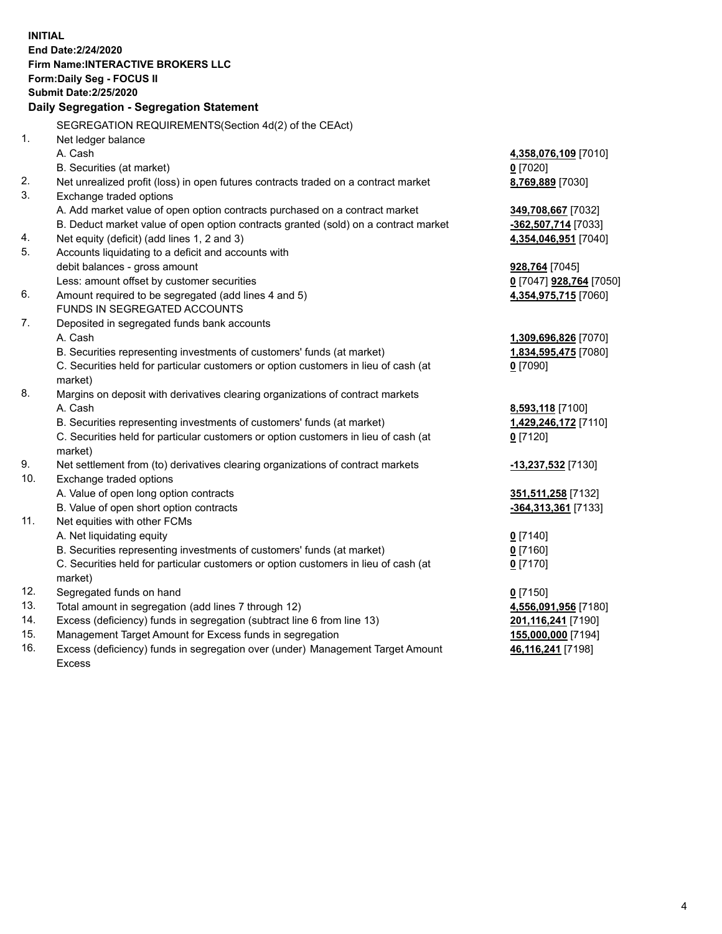**INITIAL End Date:2/24/2020 Firm Name:INTERACTIVE BROKERS LLC Form:Daily Seg - FOCUS II Submit Date:2/25/2020 Daily Segregation - Segregation Statement** SEGREGATION REQUIREMENTS(Section 4d(2) of the CEAct) 1. Net ledger balance A. Cash **4,358,076,109** [7010] B. Securities (at market) **0** [7020] 2. Net unrealized profit (loss) in open futures contracts traded on a contract market **8,769,889** [7030] 3. Exchange traded options A. Add market value of open option contracts purchased on a contract market **349,708,667** [7032] B. Deduct market value of open option contracts granted (sold) on a contract market **-362,507,714** [7033] 4. Net equity (deficit) (add lines 1, 2 and 3) **4,354,046,951** [7040] 5. Accounts liquidating to a deficit and accounts with debit balances - gross amount **928,764** [7045] Less: amount offset by customer securities **0** [7047] **928,764** [7050] 6. Amount required to be segregated (add lines 4 and 5) **4,354,975,715** [7060] FUNDS IN SEGREGATED ACCOUNTS 7. Deposited in segregated funds bank accounts A. Cash **1,309,696,826** [7070] B. Securities representing investments of customers' funds (at market) **1,834,595,475** [7080] C. Securities held for particular customers or option customers in lieu of cash (at market) **0** [7090] 8. Margins on deposit with derivatives clearing organizations of contract markets A. Cash **8,593,118** [7100] B. Securities representing investments of customers' funds (at market) **1,429,246,172** [7110] C. Securities held for particular customers or option customers in lieu of cash (at market) **0** [7120] 9. Net settlement from (to) derivatives clearing organizations of contract markets **-13,237,532** [7130] 10. Exchange traded options A. Value of open long option contracts **351,511,258** [7132] B. Value of open short option contracts **-364,313,361** [7133] 11. Net equities with other FCMs A. Net liquidating equity **0** [7140] B. Securities representing investments of customers' funds (at market) **0** [7160] C. Securities held for particular customers or option customers in lieu of cash (at market) **0** [7170] 12. Segregated funds on hand **0** [7150] 13. Total amount in segregation (add lines 7 through 12) **4,556,091,956** [7180] 14. Excess (deficiency) funds in segregation (subtract line 6 from line 13) **201,116,241** [7190] 15. Management Target Amount for Excess funds in segregation **155,000,000** [7194] 16. Excess (deficiency) funds in segregation over (under) Management Target Amount Excess **46,116,241** [7198]